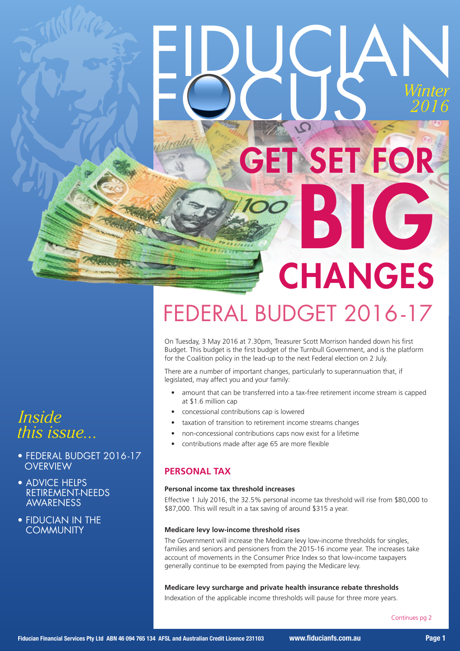# FIDUCIAN *Winter 2016* GET SET FOR BIG CHANGES

## FEDERAL BUDGET 2016 -17

On Tuesday, 3 May 2016 at 7.30pm, Treasurer Scott Morrison handed down his first Budget. This budget is the first budget of the Turnbull Government, and is the platform for the Coalition policy in the lead-up to the next Federal election on 2 July.

There are a number of important changes, particularly to superannuation that, if legislated, may affect you and your family:

- amount that can be transferred into a tax-free retirement income stream is capped at \$1.6 million cap
- concessional contributions cap is lowered
- taxation of transition to retirement income streams changes
- non-concessional contributions caps now exist for a lifetime
- contributions made after age 65 are more flexible

#### **PERSONAL TAX**

#### **Personal income tax threshold increases**

Effective 1 July 2016, the 32.5% personal income tax threshold will rise from \$80,000 to \$87,000. This will result in a tax saving of around \$315 a year.

#### **Medicare levy low-income threshold rises**

The Government will increase the Medicare levy low-income thresholds for singles, families and seniors and pensioners from the 2015-16 income year. The increases take account of movements in the Consumer Price Index so that low-income taxpayers generally continue to be exempted from paying the Medicare levy.

#### **Medicare levy surcharge and private health insurance rebate thresholds**

Indexation of the applicable income thresholds will pause for three more years.

Continues pg 2

### *Inside this issue...*

- FEDERAL BUDGET 2016-17 **OVERVIEW**
- ADVICE HELPS RETIREMENT-NEEDS **AWARENESS**
- FIDUCIAN IN THE COMMUNITY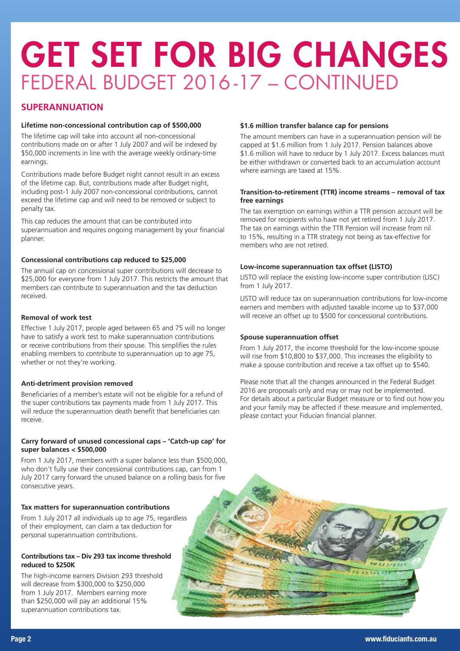## GET SET FOR BIG CHANGES FEDERAL BUDGET 2016 -17 – CONTINUED

#### **SUPERANNUATION**

#### **Lifetime non-concessional contribution cap of \$500,000**

The lifetime cap will take into account all non-concessional contributions made on or after 1 July 2007 and will be indexed by \$50,000 increments in line with the average weekly ordinary-time earnings.

Contributions made before Budget night cannot result in an excess of the lifetime cap. But, contributions made after Budget night, including post-1 July 2007 non-concessional contributions, cannot exceed the lifetime cap and will need to be removed or subject to penalty tax.

This cap reduces the amount that can be contributed into superannuation and requires ongoing management by your financial planner.

#### **Concessional contributions cap reduced to \$25,000**

The annual cap on concessional super contributions will decrease to \$25,000 for everyone from 1 July 2017. This restricts the amount that members can contribute to superannuation and the tax deduction received.

#### **Removal of work test**

Effective 1 July 2017, people aged between 65 and 75 will no longer have to satisfy a work test to make superannuation contributions or receive contributions from their spouse. This simplifies the rules enabling members to contribute to superannuation up to age 75. whether or not they're working.

#### **Anti-detriment provision removed**

Beneficiaries of a member's estate will not be eligible for a refund of the super contributions tax payments made from 1 July 2017. This will reduce the superannuation death benefit that beneficiaries can receive.

#### **Carry forward of unused concessional caps – 'Catch-up cap' for super balances < \$500,000**

From 1 July 2017, members with a super balance less than \$500,000, who don't fully use their concessional contributions cap, can from 1 July 2017 carry forward the unused balance on a rolling basis for five consecutive years.

#### **Tax matters for superannuation contributions**

From 1 July 2017 all individuals up to age 75, regardless of their employment, can claim a tax deduction for personal superannuation contributions.

#### **Contributions tax – Div 293 tax income threshold reduced to \$250K**

The high-income earners Division 293 threshold will decrease from \$300,000 to \$250,000 from 1 July 2017. Members earning more than \$250,000 will pay an additional 15% superannuation contributions tax.

#### **\$1.6 million transfer balance cap for pensions**

The amount members can have in a superannuation pension will be capped at \$1.6 million from 1 July 2017. Pension balances above \$1.6 million will have to reduce by 1 July 2017. Excess balances must be either withdrawn or converted back to an accumulation account where earnings are taxed at 15%.

#### **Transition-to-retirement (TTR) income streams – removal of tax free earnings**

The tax exemption on earnings within a TTR pension account will be removed for recipients who have not yet retired from 1 July 2017. The tax on earnings within the TTR Pension will increase from nil to 15%, resulting in a TTR strategy not being as tax-effective for members who are not retired.

#### **Low-income superannuation tax offset (LISTO)**

LISTO will replace the existing low-income super contribution (LISC) from 1 July 2017.

LISTO will reduce tax on superannuation contributions for low-income earners and members with adjusted taxable income up to \$37,000 will receive an offset up to \$500 for concessional contributions.

#### **Spouse superannuation offset**

From 1 July 2017, the income threshold for the low-income spouse will rise from \$10,800 to \$37,000. This increases the eligibility to make a spouse contribution and receive a tax offset up to \$540.

Please note that all the changes announced in the Federal Budget 2016 are proposals only and may or may not be implemented. For details about a particular Budget measure or to find out how you and your family may be affected if these measure and implemented, please contact your Fiducian financial planner.

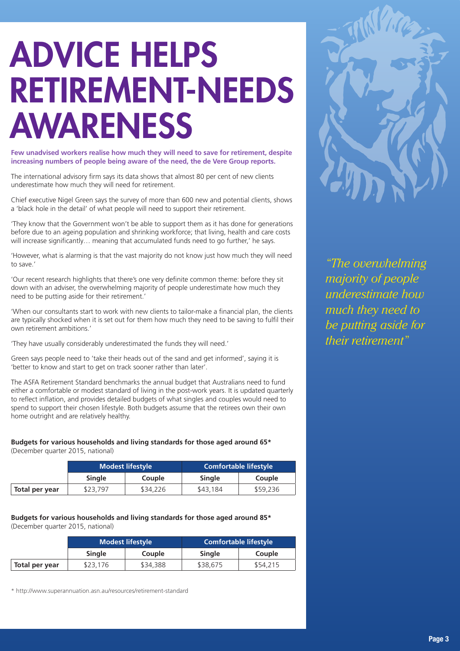# ADVICE HELPS RETIREMENT-NEEDS AWARENESS

**Few unadvised workers realise how much they will need to save for retirement, despite increasing numbers of people being aware of the need, the de Vere Group reports.**

The international advisory firm says its data shows that almost 80 per cent of new clients underestimate how much they will need for retirement.

Chief executive Nigel Green says the survey of more than 600 new and potential clients, shows a 'black hole in the detail' of what people will need to support their retirement.

'They know that the Government won't be able to support them as it has done for generations before due to an ageing population and shrinking workforce; that living, health and care costs will increase significantly... meaning that accumulated funds need to go further,' he says.

'However, what is alarming is that the vast majority do not know just how much they will need to save.'

'Our recent research highlights that there's one very definite common theme: before they sit down with an adviser, the overwhelming majority of people underestimate how much they need to be putting aside for their retirement.'

'When our consultants start to work with new clients to tailor-make a financial plan, the clients are typically shocked when it is set out for them how much they need to be saving to fulfil their own retirement ambitions.'

'They have usually considerably underestimated the funds they will need.'

Green says people need to 'take their heads out of the sand and get informed', saying it is 'better to know and start to get on track sooner rather than later'.

The ASFA Retirement Standard benchmarks the annual budget that Australians need to fund either a comfortable or modest standard of living in the post-work years. It is updated quarterly to reflect inflation, and provides detailed budgets of what singles and couples would need to spend to support their chosen lifestyle. Both budgets assume that the retirees own their own home outright and are relatively healthy.

### **Budgets for various households and living standards for those aged around 65\***

(December quarter 2015, national)

|                | <b>Modest lifestyle</b> |          | Comfortable lifestyle |          |
|----------------|-------------------------|----------|-----------------------|----------|
|                | <b>Single</b>           | Couple   | <b>Single</b>         | Couple   |
| Total per year | \$23,797                | \$34,226 | \$43,184              | \$59,236 |

#### **Budgets for various households and living standards for those aged around 85\*** (December quarter 2015, national)

|                | <b>Modest lifestyle</b> |          | Comfortable lifestyle ' |               |
|----------------|-------------------------|----------|-------------------------|---------------|
|                | <b>Single</b>           | Couple   | <b>Single</b>           | <b>Couple</b> |
| Total per year | \$23,176                | \$34,388 | \$38,675                | \$54,215      |

\* http://www.superannuation.asn.au/resources/retirement-standard



*"The overwhelming majority of people underestimate how much they need to be putting aside for their retirement"*